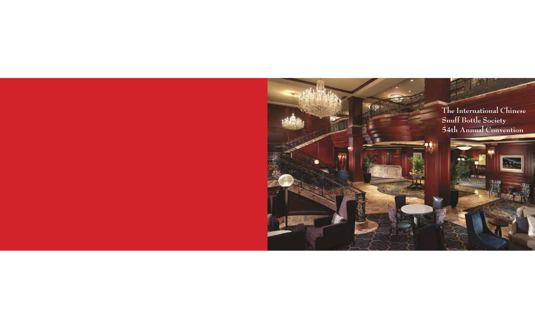